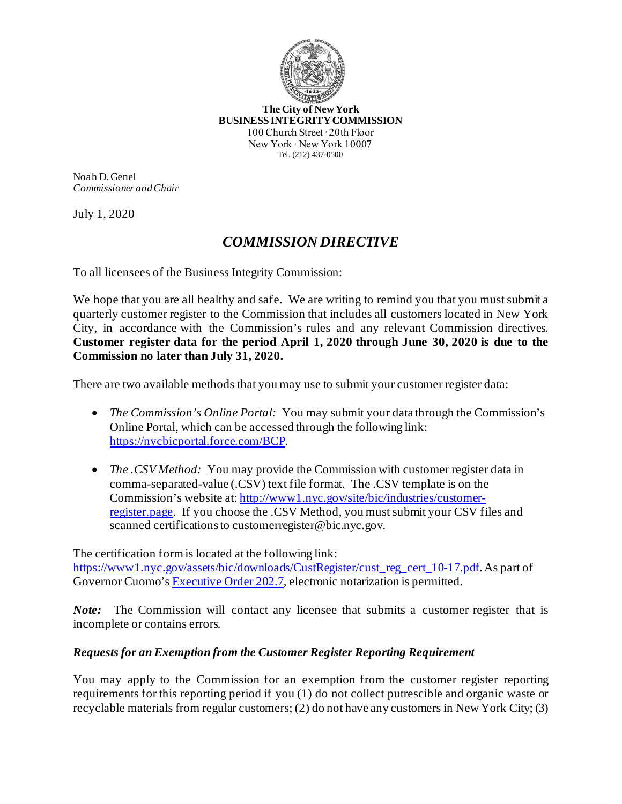

**The City of New York BUSINESS INTEGRITY COMMISSION** 100 Church Street ∙ 20th Floor New York ∙ New York 10007 Tel. (212) 437-0500

Noah D. Genel *Commissioner and Chair*

July 1, 2020

## *COMMISSION DIRECTIVE*

To all licensees of the Business Integrity Commission:

We hope that you are all healthy and safe. We are writing to remind you that you must submit a quarterly customer register to the Commission that includes all customers located in New York City, in accordance with the Commission's rules and any relevant Commission directives. **Customer register data for the period April 1, 2020 through June 30, 2020 is due to the Commission no later than July 31, 2020.**

There are two available methods that you may use to submit your customer register data:

- *The Commission's Online Portal:* You may submit your data through the Commission's Online Portal, which can be accessed through the following link: [https://nycbicportal.force.com/BCP.](https://nycbicportal.force.com/BCP)
- *The .CSV Method:* You may provide the Commission with customer register data in comma-separated-value (.CSV) text file format. The .CSV template is on the Commission's website at: http://www1.nyc.gov/site/bic/industries/customerregister.page. If you choose the .CSV Method, you must submit your CSV files and scanned certifications to customerregister@bic.nyc.gov.

The certification form is located at the following link: [https://www1.nyc.gov/assets/bic/downloads/CustRegister/cust\\_reg\\_cert\\_10-17.pdf](https://www1.nyc.gov/assets/bic/downloads/CustRegister/cust_reg_cert_10-17.pdf). As part of Governor Cuomo'[s Executive Order 202.7](https://www.governor.ny.gov/news/no-2027-continuing-temporary-suspension-and-modification-laws-relating-disaster-emergency), electronic notarization is permitted.

*Note:* The Commission will contact any licensee that submits a customer register that is incomplete or contains errors.

## *Requests for an Exemption from the Customer Register Reporting Requirement*

You may apply to the Commission for an exemption from the customer register reporting requirements for this reporting period if you (1) do not collect putrescible and organic waste or recyclable materials from regular customers; (2) do not have any customers in New York City; (3)